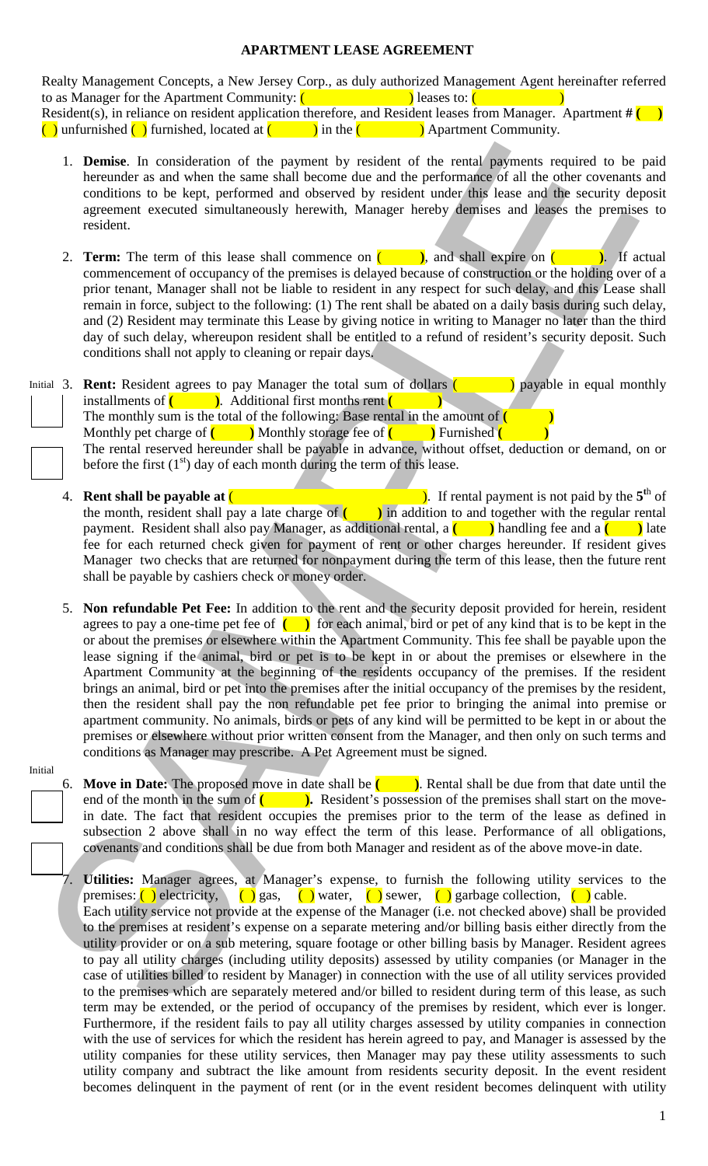## **APARTMENT LEASE AGREEMENT**

Realty Management Concepts, a New Jersey Corp., as duly authorized Management Agent hereinafter referred to as Manager for the Apartment Community:  $($ Resident(s), in reliance on resident application therefore, and Resident leases from Manager. Apartment  $\sharp(\ )$ ( $\Box$ ) unfurnished ( $\Box$ ) furnished, located at  $($   $\Box$ ) in the  $($   $\Box$ ) Apartment Community.

- 1. **Demise**. In consideration of the payment by resident of the rental payments required to be paid hereunder as and when the same shall become due and the performance of all the other covenants and conditions to be kept, performed and observed by resident under this lease and the security deposit agreement executed simultaneously herewith, Manager hereby demises and leases the premises to resident.
- 2. **Term:** The term of this lease shall commence on  $($ , and shall expire on  $($ ,  $)$ . If actual commencement of occupancy of the premises is delayed because of construction or the holding over of a prior tenant, Manager shall not be liable to resident in any respect for such delay, and this Lease shall remain in force, subject to the following: (1) The rent shall be abated on a daily basis during such delay, and (2) Resident may terminate this Lease by giving notice in writing to Manager no later than the third day of such delay, whereupon resident shall be entitled to a refund of resident's security deposit. Such conditions shall not apply to cleaning or repair days.
- Initial 3. **Rent:** Resident agrees to pay Manager the total sum of dollars (**inclusively** payable in equal monthly installments of  $\left(\begin{array}{c} \bullet \bullet \end{array}\right)$ . Additional first months rent  $\left(\begin{array}{c} \bullet \bullet \end{array}\right)$ The monthly sum is the total of the following: Base rental in the amount of **(** Monthly pet charge of **( )** Monthly storage fee of **( )** Furnished **( )** The rental reserved hereunder shall be payable in advance, without offset, deduction or demand, on or before the first  $(1<sup>st</sup>)$  day of each month during the term of this lease. s
	- 4. **Rent shall be payable at**  $($  **i**  $\overline{\phantom{a}}$  **i**  $\overline{\phantom{a}}$  **)**. If rental payment is not paid by the  $5<sup>th</sup>$  of the month, resident shall pay a late charge of  $\left(\begin{array}{c} \bullet \\ \bullet \end{array}\right)$  in addition to and together with the regular rental payment. Resident shall also pay Manager, as additional rental, a  $($  ) handling fee and a  $($  ) late fee for each returned check given for payment of rent or other charges hereunder. If resident gives Manager two checks that are returned for nonpayment during the term of this lease, then the future rent shall be payable by cashiers check or money order.
- 1. Demains for consideration of the approach by stationarity of the restal system expansion is be read considered and considered and consider the stationary of the stationary of the stationary of the stationary of the sta 5. **Non refundable Pet Fee:** In addition to the rent and the security deposit provided for herein, resident agrees to pay a one-time pet fee of  $\left(\begin{array}{c} \bullet \end{array}\right)$  for each animal, bird or pet of any kind that is to be kept in the or about the premises or elsewhere within the Apartment Community. This fee shall be payable upon the lease signing if the animal, bird or pet is to be kept in or about the premises or elsewhere in the Apartment Community at the beginning of the residents occupancy of the premises. If the resident brings an animal, bird or pet into the premises after the initial occupancy of the premises by the resident, then the resident shall pay the non refundable pet fee prior to bringing the animal into premise or apartment community. No animals, birds or pets of any kind will be permitted to be kept in or about the premises or elsewhere without prior written consent from the Manager, and then only on such terms and conditions as Manager may prescribe. A Pet Agreement must be signed.
	- 6. **Move in Date:** The proposed move in date shall be **( )**. Rental shall be due from that date until the end of the month in the sum of  $($   $)$ . Resident's possession of the premises shall start on the movein date. The fact that resident occupies the premises prior to the term of the lease as defined in subsection 2 above shall in no way effect the term of this lease. Performance of all obligations, covenants and conditions shall be due from both Manager and resident as of the above move-in date.

Initial

7. **Utilities:** Manager agrees, at Manager's expense, to furnish the following utility services to the premises: ( ) electricity, () gas, () water, () sewer, () garbage collection, ( ) cable. Each utility service not provide at the expense of the Manager (i.e. not checked above) shall be provided to the premises at resident's expense on a separate metering and/or billing basis either directly from the utility provider or on a sub metering, square footage or other billing basis by Manager. Resident agrees to pay all utility charges (including utility deposits) assessed by utility companies (or Manager in the case of utilities billed to resident by Manager) in connection with the use of all utility services provided to the premises which are separately metered and/or billed to resident during term of this lease, as such term may be extended, or the period of occupancy of the premises by resident, which ever is longer. Furthermore, if the resident fails to pay all utility charges assessed by utility companies in connection with the use of services for which the resident has herein agreed to pay, and Manager is assessed by the utility companies for these utility services, then Manager may pay these utility assessments to such utility company and subtract the like amount from residents security deposit. In the event resident becomes delinquent in the payment of rent (or in the event resident becomes delinquent with utility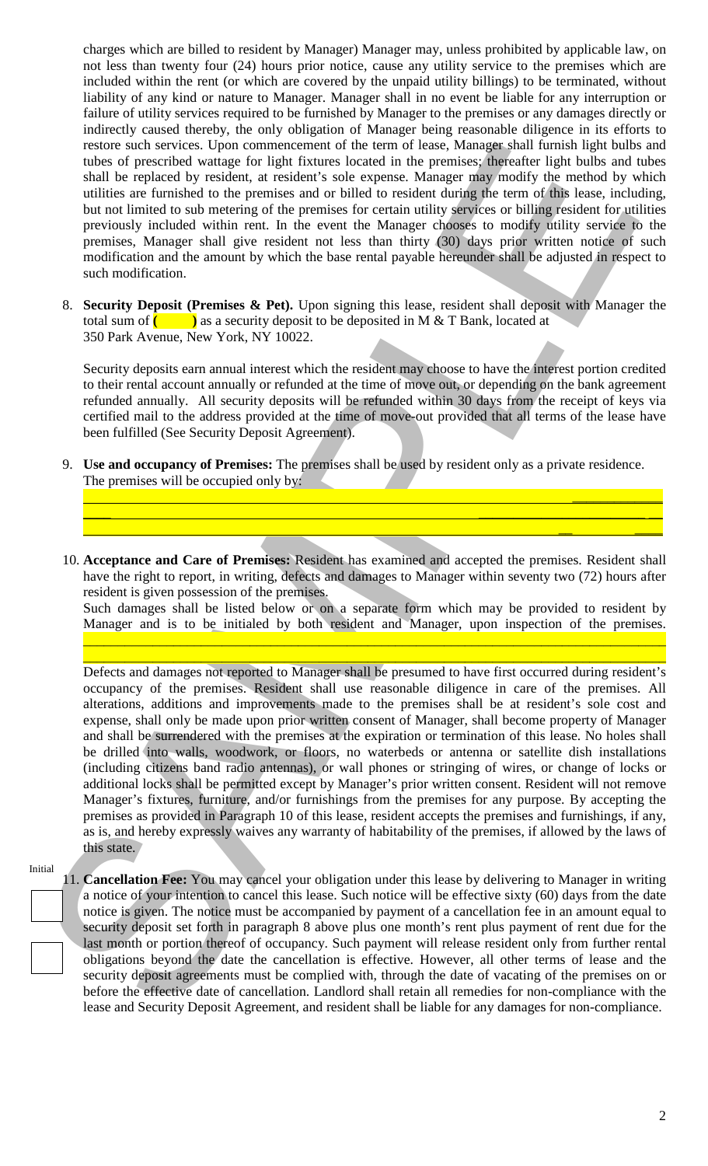charges which are billed to resident by Manager) Manager may, unless prohibited by applicable law, on not less than twenty four (24) hours prior notice, cause any utility service to the premises which are included within the rent (or which are covered by the unpaid utility billings) to be terminated, without liability of any kind or nature to Manager. Manager shall in no event be liable for any interruption or failure of utility services required to be furnished by Manager to the premises or any damages directly or indirectly caused thereby, the only obligation of Manager being reasonable diligence in its efforts to restore such services. Upon commencement of the term of lease, Manager shall furnish light bulbs and tubes of prescribed wattage for light fixtures located in the premises; thereafter light bulbs and tubes shall be replaced by resident, at resident's sole expense. Manager may modify the method by which utilities are furnished to the premises and or billed to resident during the term of this lease, including, but not limited to sub metering of the premises for certain utility services or billing resident for utilities previously included within rent. In the event the Manager chooses to modify utility service to the premises, Manager shall give resident not less than thirty (30) days prior written notice of such modification and the amount by which the base rental payable hereunder shall be adjusted in respect to such modification.

8. **Security Deposit (Premises & Pet).** Upon signing this lease, resident shall deposit with Manager the total sum of  $($  as a security deposit to be deposited in M  $&$  T Bank, located at 350 Park Avenue, New York, NY 10022.

Security deposits earn annual interest which the resident may choose to have the interest portion credited to their rental account annually or refunded at the time of move out, or depending on the bank agreement refunded annually. All security deposits will be refunded within 30 days from the receipt of keys via certified mail to the address provided at the time of move-out provided that all terms of the lease have been fulfilled (See Security Deposit Agreement).

 \_\_\_\_\_\_\_\_\_\_\_\_\_ \_\_\_\_ \_\_\_\_\_\_\_\_\_\_\_\_\_\_\_\_\_\_\_\_\_\_\_\_ \_\_ \_\_ \_\_\_\_

- 9. **Use and occupancy of Premises:** The premises shall be used by resident only as a private residence. The premises will be occupied only by:
- 10. **Acceptance and Care of Premises:** Resident has examined and accepted the premises. Resident shall have the right to report, in writing, defects and damages to Manager within seventy two (72) hours after resident is given possession of the premises.

Such damages shall be listed below or on a separate form which may be provided to resident by Manager and is to be initialed by both resident and Manager, upon inspection of the premises.

 $\_$  , and the state of the state of the state of the state of the state of the state of the state of the state of the state of the state of the state of the state of the state of the state of the state of the state of the  $\_$  , and the state of the state of the state of the state of the state of the state of the state of the state of the state of the state of the state of the state of the state of the state of the state of the state of the

ENGE such recives the monomenon of the term of the star Manusch shift fund has the most star and the star and the star and the star and the most star and the most star and the most star and the most star and the most star Defects and damages not reported to Manager shall be presumed to have first occurred during resident's occupancy of the premises. Resident shall use reasonable diligence in care of the premises. All alterations, additions and improvements made to the premises shall be at resident's sole cost and expense, shall only be made upon prior written consent of Manager, shall become property of Manager and shall be surrendered with the premises at the expiration or termination of this lease. No holes shall be drilled into walls, woodwork, or floors, no waterbeds or antenna or satellite dish installations (including citizens band radio antennas), or wall phones or stringing of wires, or change of locks or additional locks shall be permitted except by Manager's prior written consent. Resident will not remove Manager's fixtures, furniture, and/or furnishings from the premises for any purpose. By accepting the premises as provided in Paragraph 10 of this lease, resident accepts the premises and furnishings, if any, as is, and hereby expressly waives any warranty of habitability of the premises, if allowed by the laws of this state.

Initial

11. **Cancellation Fee:** You may cancel your obligation under this lease by delivering to Manager in writing a notice of your intention to cancel this lease. Such notice will be effective sixty (60) days from the date notice is given. The notice must be accompanied by payment of a cancellation fee in an amount equal to security deposit set forth in paragraph 8 above plus one month's rent plus payment of rent due for the last month or portion thereof of occupancy. Such payment will release resident only from further rental obligations beyond the date the cancellation is effective. However, all other terms of lease and the security deposit agreements must be complied with, through the date of vacating of the premises on or before the effective date of cancellation. Landlord shall retain all remedies for non-compliance with the lease and Security Deposit Agreement, and resident shall be liable for any damages for non-compliance.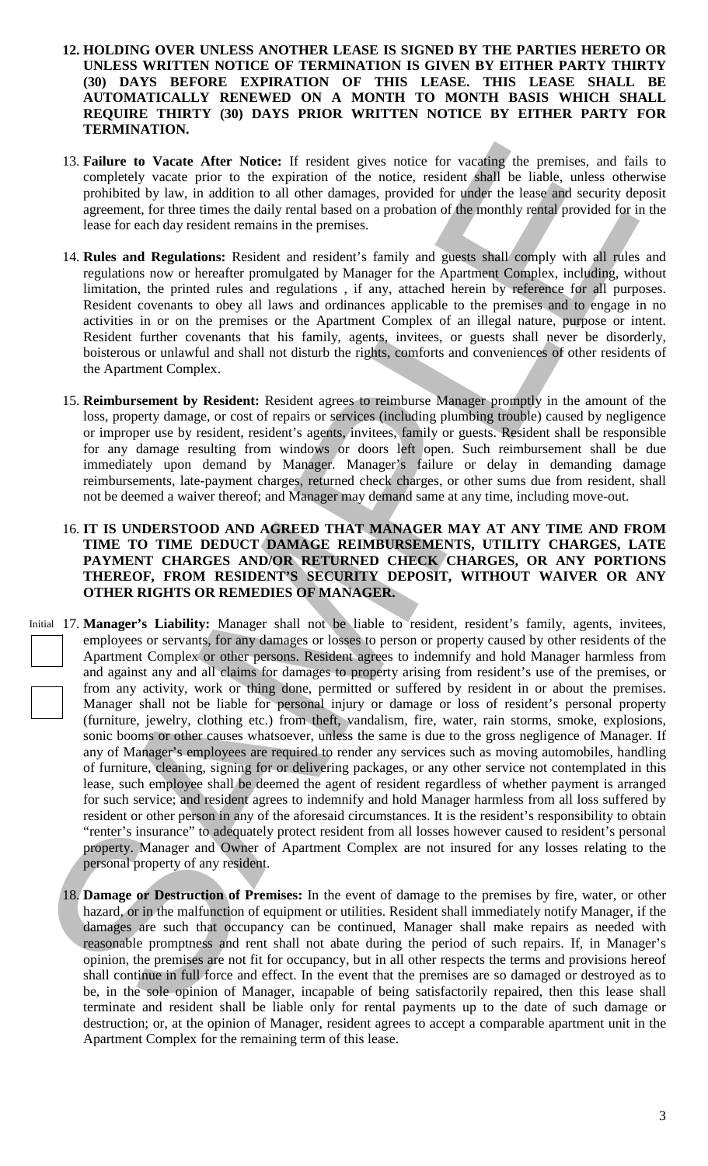- **12. HOLDING OVER UNLESS ANOTHER LEASE IS SIGNED BY THE PARTIES HERETO OR UNLESS WRITTEN NOTICE OF TERMINATION IS GIVEN BY EITHER PARTY THIRTY (30) DAYS BEFORE EXPIRATION OF THIS LEASE. THIS LEASE SHALL BE AUTOMATICALLY RENEWED ON A MONTH TO MONTH BASIS WHICH SHALL REQUIRE THIRTY (30) DAYS PRIOR WRITTEN NOTICE BY EITHER PARTY FOR TERMINATION.**
- 13. **Failure to Vacate After Notice:** If resident gives notice for vacating the premises, and fails to completely vacate prior to the expiration of the notice, resident shall be liable, unless otherwise prohibited by law, in addition to all other damages, provided for under the lease and security deposit agreement, for three times the daily rental based on a probation of the monthly rental provided for in the lease for each day resident remains in the premises.
- 14. **Rules and Regulations:** Resident and resident's family and guests shall comply with all rules and regulations now or hereafter promulgated by Manager for the Apartment Complex, including, without limitation, the printed rules and regulations , if any, attached herein by reference for all purposes. Resident covenants to obey all laws and ordinances applicable to the premises and to engage in no activities in or on the premises or the Apartment Complex of an illegal nature, purpose or intent. Resident further covenants that his family, agents, invitees, or guests shall never be disorderly, boisterous or unlawful and shall not disturb the rights, comforts and conveniences of other residents of the Apartment Complex.
- 15. **Reimbursement by Resident:** Resident agrees to reimburse Manager promptly in the amount of the loss, property damage, or cost of repairs or services (including plumbing trouble) caused by negligence or improper use by resident, resident's agents, invitees, family or guests. Resident shall be responsible for any damage resulting from windows or doors left open. Such reimbursement shall be due immediately upon demand by Manager. Manager's failure or delay in demanding damage reimbursements, late-payment charges, returned check charges, or other sums due from resident, shall not be deemed a waiver thereof; and Manager may demand same at any time, including move-out.
- 16. **IT IS UNDERSTOOD AND AGREED THAT MANAGER MAY AT ANY TIME AND FROM TIME TO TIME DEDUCT DAMAGE REIMBURSEMENTS, UTILITY CHARGES, LATE PAYMENT CHARGES AND/OR RETURNED CHECK CHARGES, OR ANY PORTIONS THEREOF, FROM RESIDENT'S SECURITY DEPOSIT, WITHOUT WAIVER OR ANY OTHER RIGHTS OR REMEDIES OF MANAGER.**
- 13. Ballmare to Variate After Neither If reader a per notice for consider the merels, and fails to provide the proposition of the solid of the proposition of the solid of the solid of the solid of the solid of the solid o Initial 17. **Manager's Liability:** Manager shall not be liable to resident, resident's family, agents, invitees, employees or servants, for any damages or losses to person or property caused by other residents of the Apartment Complex or other persons. Resident agrees to indemnify and hold Manager harmless from and against any and all claims for damages to property arising from resident's use of the premises, or from any activity, work or thing done, permitted or suffered by resident in or about the premises. Manager shall not be liable for personal injury or damage or loss of resident's personal property (furniture, jewelry, clothing etc.) from theft, vandalism, fire, water, rain storms, smoke, explosions, sonic booms or other causes whatsoever, unless the same is due to the gross negligence of Manager. If any of Manager's employees are required to render any services such as moving automobiles, handling of furniture, cleaning, signing for or delivering packages, or any other service not contemplated in this lease, such employee shall be deemed the agent of resident regardless of whether payment is arranged for such service; and resident agrees to indemnify and hold Manager harmless from all loss suffered by resident or other person in any of the aforesaid circumstances. It is the resident's responsibility to obtain "renter's insurance" to adequately protect resident from all losses however caused to resident's personal property. Manager and Owner of Apartment Complex are not insured for any losses relating to the personal property of any resident. s
	- 18. **Damage or Destruction of Premises:** In the event of damage to the premises by fire, water, or other hazard, or in the malfunction of equipment or utilities. Resident shall immediately notify Manager, if the damages are such that occupancy can be continued, Manager shall make repairs as needed with reasonable promptness and rent shall not abate during the period of such repairs. If, in Manager's opinion, the premises are not fit for occupancy, but in all other respects the terms and provisions hereof shall continue in full force and effect. In the event that the premises are so damaged or destroyed as to be, in the sole opinion of Manager, incapable of being satisfactorily repaired, then this lease shall terminate and resident shall be liable only for rental payments up to the date of such damage or destruction; or, at the opinion of Manager, resident agrees to accept a comparable apartment unit in the Apartment Complex for the remaining term of this lease.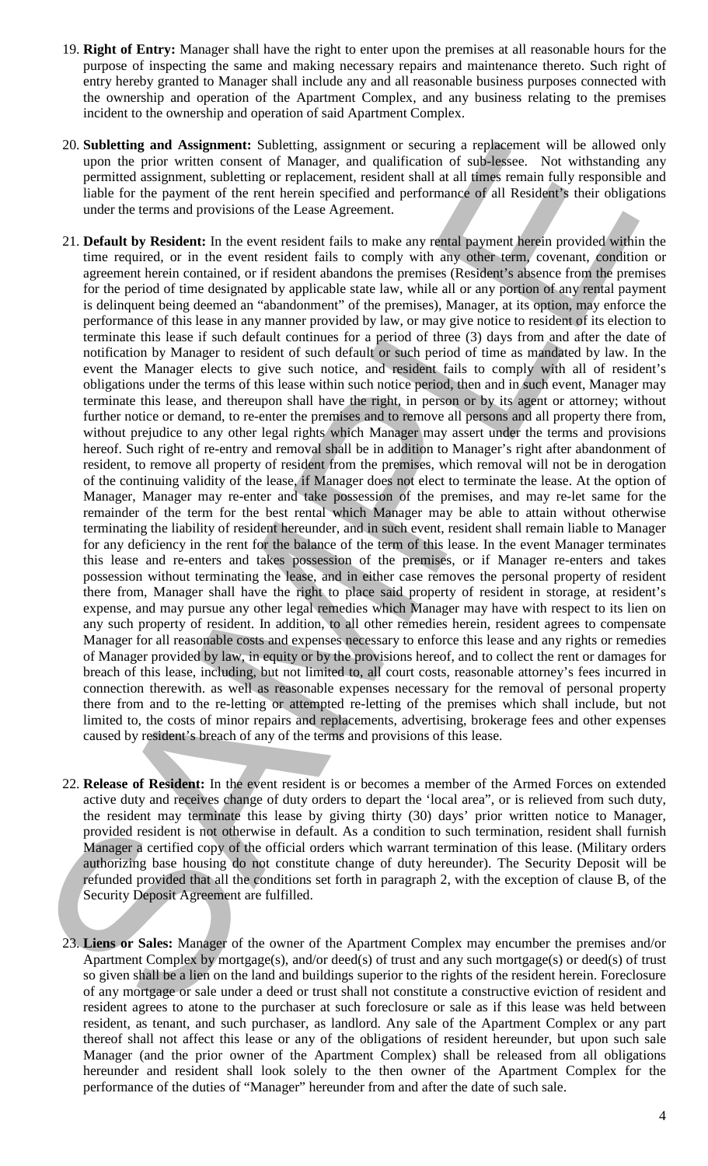- 19. **Right of Entry:** Manager shall have the right to enter upon the premises at all reasonable hours for the purpose of inspecting the same and making necessary repairs and maintenance thereto. Such right of entry hereby granted to Manager shall include any and all reasonable business purposes connected with the ownership and operation of the Apartment Complex, and any business relating to the premises incident to the ownership and operation of said Apartment Complex.
- 20. **Subletting and Assignment:** Subletting, assignment or securing a replacement will be allowed only upon the prior written consent of Manager, and qualification of sub-lessee. Not withstanding any permitted assignment, subletting or replacement, resident shall at all times remain fully responsible and liable for the payment of the rent herein specified and performance of all Resident's their obligations under the terms and provisions of the Lease Agreement.
- 20 Substitute and Assignments (shorted, neighboriday is received a registerate with a allowing the sine of the sine of the sine of the sine of the sine of the sine of the sine of the sine of the sine of the sine of the si 21. **Default by Resident:** In the event resident fails to make any rental payment herein provided within the time required, or in the event resident fails to comply with any other term, covenant, condition or agreement herein contained, or if resident abandons the premises (Resident's absence from the premises for the period of time designated by applicable state law, while all or any portion of any rental payment is delinquent being deemed an "abandonment" of the premises), Manager, at its option, may enforce the performance of this lease in any manner provided by law, or may give notice to resident of its election to terminate this lease if such default continues for a period of three (3) days from and after the date of notification by Manager to resident of such default or such period of time as mandated by law. In the event the Manager elects to give such notice, and resident fails to comply with all of resident's obligations under the terms of this lease within such notice period, then and in such event, Manager may terminate this lease, and thereupon shall have the right, in person or by its agent or attorney; without further notice or demand, to re-enter the premises and to remove all persons and all property there from, without prejudice to any other legal rights which Manager may assert under the terms and provisions hereof. Such right of re-entry and removal shall be in addition to Manager's right after abandonment of resident, to remove all property of resident from the premises, which removal will not be in derogation of the continuing validity of the lease, if Manager does not elect to terminate the lease. At the option of Manager, Manager may re-enter and take possession of the premises, and may re-let same for the remainder of the term for the best rental which Manager may be able to attain without otherwise terminating the liability of resident hereunder, and in such event, resident shall remain liable to Manager for any deficiency in the rent for the balance of the term of this lease. In the event Manager terminates this lease and re-enters and takes possession of the premises, or if Manager re-enters and takes possession without terminating the lease, and in either case removes the personal property of resident there from, Manager shall have the right to place said property of resident in storage, at resident's expense, and may pursue any other legal remedies which Manager may have with respect to its lien on any such property of resident. In addition, to all other remedies herein, resident agrees to compensate Manager for all reasonable costs and expenses necessary to enforce this lease and any rights or remedies of Manager provided by law, in equity or by the provisions hereof, and to collect the rent or damages for breach of this lease, including, but not limited to, all court costs, reasonable attorney's fees incurred in connection therewith. as well as reasonable expenses necessary for the removal of personal property there from and to the re-letting or attempted re-letting of the premises which shall include, but not limited to, the costs of minor repairs and replacements, advertising, brokerage fees and other expenses caused by resident's breach of any of the terms and provisions of this lease.
	- 22. **Release of Resident:** In the event resident is or becomes a member of the Armed Forces on extended active duty and receives change of duty orders to depart the 'local area", or is relieved from such duty, the resident may terminate this lease by giving thirty (30) days' prior written notice to Manager, provided resident is not otherwise in default. As a condition to such termination, resident shall furnish Manager a certified copy of the official orders which warrant termination of this lease. (Military orders authorizing base housing do not constitute change of duty hereunder). The Security Deposit will be refunded provided that all the conditions set forth in paragraph 2, with the exception of clause B, of the Security Deposit Agreement are fulfilled.
	- 23. **Liens or Sales:** Manager of the owner of the Apartment Complex may encumber the premises and/or Apartment Complex by mortgage(s), and/or deed(s) of trust and any such mortgage(s) or deed(s) of trust so given shall be a lien on the land and buildings superior to the rights of the resident herein. Foreclosure of any mortgage or sale under a deed or trust shall not constitute a constructive eviction of resident and resident agrees to atone to the purchaser at such foreclosure or sale as if this lease was held between resident, as tenant, and such purchaser, as landlord. Any sale of the Apartment Complex or any part thereof shall not affect this lease or any of the obligations of resident hereunder, but upon such sale Manager (and the prior owner of the Apartment Complex) shall be released from all obligations hereunder and resident shall look solely to the then owner of the Apartment Complex for the performance of the duties of "Manager" hereunder from and after the date of such sale.